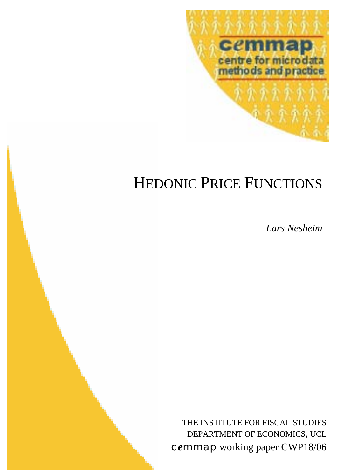

# HEDONIC PRICE FUNCTIONS

*Lars Nesheim*

THE INSTITUTE FOR FISCAL STUDIES DEPARTMENT OF ECONOMICS, UCL c*e*mmap working paper CWP18/06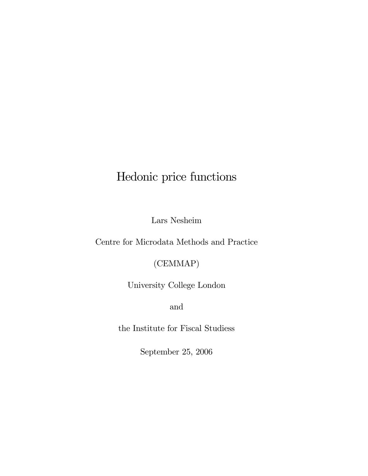# Hedonic price functions

Lars Nesheim

Centre for Microdata Methods and Practice

(CEMMAP)

University College London

and

the Institute for Fiscal Studiess

September 25, 2006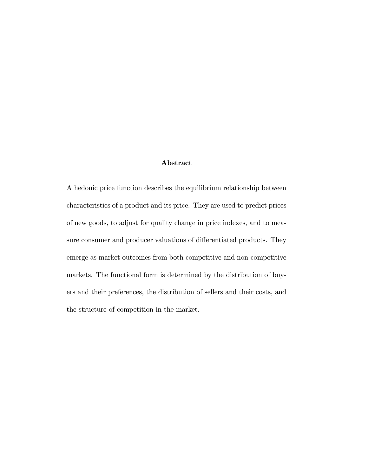#### Abstract

A hedonic price function describes the equilibrium relationship between characteristics of a product and its price. They are used to predict prices of new goods, to adjust for quality change in price indexes, and to measure consumer and producer valuations of differentiated products. They emerge as market outcomes from both competitive and non-competitive markets. The functional form is determined by the distribution of buyers and their preferences, the distribution of sellers and their costs, and the structure of competition in the market.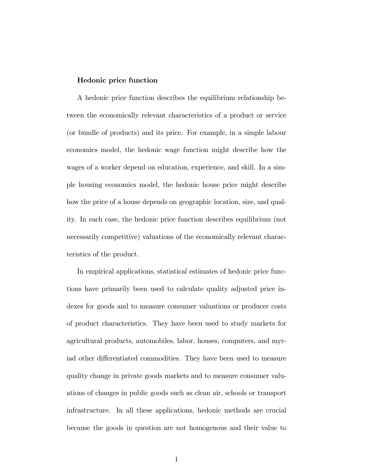#### Hedonic price function

A hedonic price function describes the equilibrium relationship between the economically relevant characteristics of a product or service (or bundle of products) and its price. For example, in a simple labour economics model, the hedonic wage function might describe how the wages of a worker depend on education, experience, and skill. In a simple housing economics model, the hedonic house price might describe how the price of a house depends on geographic location, size, and quality. In each case, the hedonic price function describes equilibrium (not necessarily competitive) valuations of the economically relevant characteristics of the product.

In empirical applications, statistical estimates of hedonic price functions have primarily been used to calculate quality adjusted price indexes for goods and to measure consumer valuations or producer costs of product characteristics. They have been used to study markets for agricultural products, automobiles, labor, houses, computers, and myriad other differentiated commodities. They have been used to measure quality change in private goods markets and to measure consumer valuations of changes in public goods such as clean air, schools or transport infrastructure. In all these applications, hedonic methods are crucial because the goods in question are not homogenous and their value to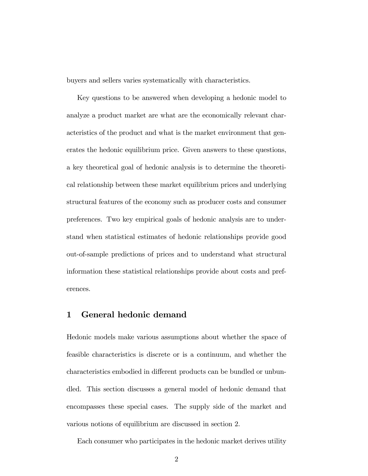buyers and sellers varies systematically with characteristics.

Key questions to be answered when developing a hedonic model to analyze a product market are what are the economically relevant characteristics of the product and what is the market environment that generates the hedonic equilibrium price. Given answers to these questions, a key theoretical goal of hedonic analysis is to determine the theoretical relationship between these market equilibrium prices and underlying structural features of the economy such as producer costs and consumer preferences. Two key empirical goals of hedonic analysis are to understand when statistical estimates of hedonic relationships provide good out-of-sample predictions of prices and to understand what structural information these statistical relationships provide about costs and preferences.

## 1 General hedonic demand

Hedonic models make various assumptions about whether the space of feasible characteristics is discrete or is a continuum, and whether the characteristics embodied in different products can be bundled or unbundled. This section discusses a general model of hedonic demand that encompasses these special cases. The supply side of the market and various notions of equilibrium are discussed in section 2.

Each consumer who participates in the hedonic market derives utility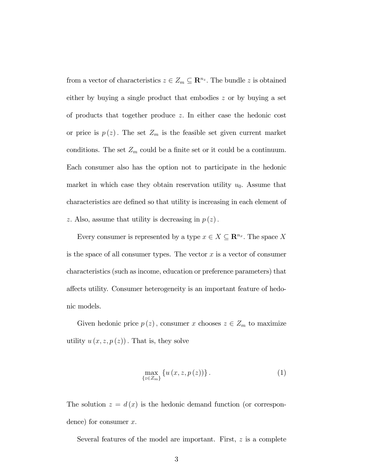from a vector of characteristics  $z \in Z_m \subseteq \mathbb{R}^{n_z}$ . The bundle z is obtained either by buying a single product that embodies z or by buying a set of products that together produce z: In either case the hedonic cost or price is  $p(z)$ . The set  $Z_m$  is the feasible set given current market conditions. The set  $Z_m$  could be a finite set or it could be a continuum. Each consumer also has the option not to participate in the hedonic market in which case they obtain reservation utility  $u_0$ . Assume that characteristics are defined so that utility is increasing in each element of z. Also, assume that utility is decreasing in  $p(z)$ .

Every consumer is represented by a type  $x \in X \subseteq \mathbb{R}^{n_x}$ . The space X is the space of all consumer types. The vector  $x$  is a vector of consumer characteristics (such as income, education or preference parameters) that affects utility. Consumer heterogeneity is an important feature of hedonic models.

Given hedonic price  $p(z)$ , consumer x chooses  $z \in Z_m$  to maximize utility  $u(x, z, p(z))$ . That is, they solve

$$
\max_{\{z \in Z_m\}} \left\{ u\left(x, z, p\left(z\right)\right) \right\}.
$$
 (1)

The solution  $z = d(x)$  is the hedonic demand function (or correspondence) for consumer  $x$ .

Several features of the model are important. First,  $z$  is a complete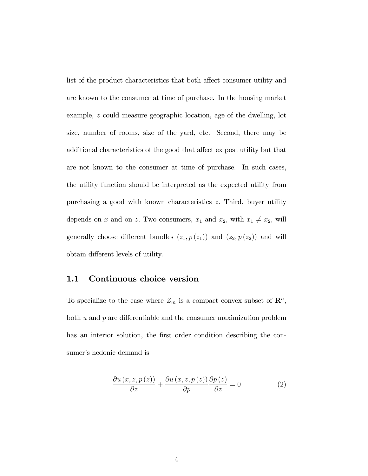list of the product characteristics that both affect consumer utility and are known to the consumer at time of purchase. In the housing market example, z could measure geographic location, age of the dwelling, lot size, number of rooms, size of the yard, etc. Second, there may be additional characteristics of the good that affect ex post utility but that are not known to the consumer at time of purchase. In such cases, the utility function should be interpreted as the expected utility from purchasing a good with known characteristics z: Third, buyer utility depends on x and on z. Two consumers,  $x_1$  and  $x_2$ , with  $x_1 \neq x_2$ , will generally choose different bundles  $(z_1, p(z_1))$  and  $(z_2, p(z_2))$  and will obtain different levels of utility.

#### 1.1 Continuous choice version

To specialize to the case where  $Z_m$  is a compact convex subset of  $\mathbb{R}^n$ , both  $u$  and  $p$  are differentiable and the consumer maximization problem has an interior solution, the first order condition describing the consumer's hedonic demand is

$$
\frac{\partial u(x,z,p(z))}{\partial z} + \frac{\partial u(x,z,p(z))}{\partial p} \frac{\partial p(z)}{\partial z} = 0
$$
 (2)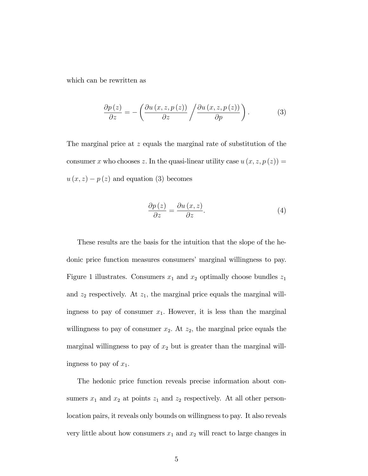which can be rewritten as

$$
\frac{\partial p(z)}{\partial z} = -\left(\frac{\partial u(x,z,p(z))}{\partial z} / \frac{\partial u(x,z,p(z))}{\partial p}\right). \tag{3}
$$

The marginal price at z equals the marginal rate of substitution of the consumer x who chooses z. In the quasi-linear utility case  $u(x, z, p(z)) =$  $u(x, z) - p(z)$  and equation (3) becomes

$$
\frac{\partial p\left(z\right)}{\partial z} = \frac{\partial u\left(x,z\right)}{\partial z}.\tag{4}
$$

These results are the basis for the intuition that the slope of the hedonic price function measures consumers' marginal willingness to pay. Figure 1 illustrates. Consumers  $x_1$  and  $x_2$  optimally choose bundles  $z_1$ and  $z_2$  respectively. At  $z_1$ , the marginal price equals the marginal willingness to pay of consumer  $x_1$ . However, it is less than the marginal willingness to pay of consumer  $x_2$ . At  $z_2$ , the marginal price equals the marginal willingness to pay of  $x_2$  but is greater than the marginal willingness to pay of  $x_1$ .

The hedonic price function reveals precise information about consumers  $x_1$  and  $x_2$  at points  $z_1$  and  $z_2$  respectively. At all other personlocation pairs, it reveals only bounds on willingness to pay. It also reveals very little about how consumers  $x_1$  and  $x_2$  will react to large changes in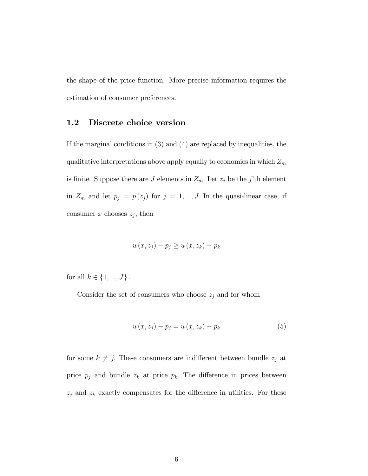the shape of the price function. More precise information requires the estimation of consumer preferences.

#### 1.2 Discrete choice version

If the marginal conditions in (3) and (4) are replaced by inequalities, the qualitative interpretations above apply equally to economies in which  $Z_m$ is finite. Suppose there are J elements in  $Z_m$ . Let  $z_j$  be the j'th element in  $Z_m$  and let  $p_j = p(z_j)$  for  $j = 1, ..., J$ . In the quasi-linear case, if consumer x chooses  $z_j$ , then

$$
u(x, z_j) - p_j \ge u(x, z_k) - p_k
$$

for all  $k \in \{1, ..., J\}$ .

Consider the set of consumers who choose  $z_j$  and for whom

$$
u(x, z_j) - p_j = u(x, z_k) - p_k
$$
 (5)

for some  $k \neq j$ . These consumers are indifferent between bundle  $z_j$  at price  $p_j$  and bundle  $z_k$  at price  $p_k$ . The difference in prices between  $z_j$  and  $z_k$  exactly compensates for the difference in utilities. For these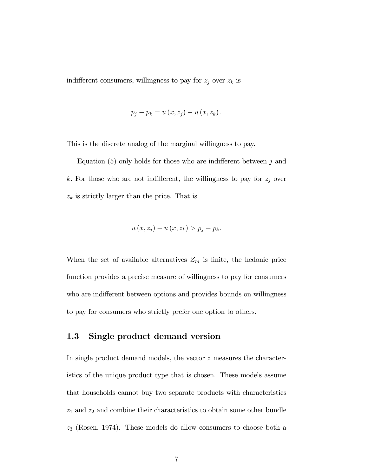indifferent consumers, willingness to pay for  $z_j$  over  $z_k$  is

$$
p_j - p_k = u(x, z_j) - u(x, z_k).
$$

This is the discrete analog of the marginal willingness to pay.

Equation  $(5)$  only holds for those who are indifferent between j and k. For those who are not indifferent, the willingness to pay for  $z_j$  over  $z_k$  is strictly larger than the price. That is

$$
u(x, z_j) - u(x, z_k) > p_j - p_k.
$$

When the set of available alternatives  $Z_m$  is finite, the hedonic price function provides a precise measure of willingness to pay for consumers who are indifferent between options and provides bounds on willingness to pay for consumers who strictly prefer one option to others.

#### 1.3 Single product demand version

In single product demand models, the vector z measures the characteristics of the unique product type that is chosen. These models assume that households cannot buy two separate products with characteristics  $z_1$  and  $z_2$  and combine their characteristics to obtain some other bundle z<sup>3</sup> (Rosen, 1974). These models do allow consumers to choose both a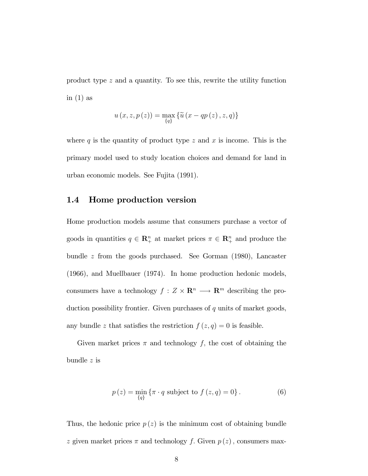product type z and a quantity. To see this, rewrite the utility function in  $(1)$  as

$$
u(x, z, p(z)) = \max_{\{q\}} \{ \widetilde{u}(x - qp(z), z, q) \}
$$

where  $q$  is the quantity of product type  $z$  and  $x$  is income. This is the primary model used to study location choices and demand for land in urban economic models. See Fujita (1991).

#### 1.4 Home production version

Home production models assume that consumers purchase a vector of goods in quantities  $q \in \mathbb{R}_{+}^{n}$  at market prices  $\pi \in \mathbb{R}_{+}^{n}$  and produce the bundle z from the goods purchased. See Gorman (1980), Lancaster (1966), and Muellbauer (1974). In home production hedonic models, consumers have a technology  $f: Z \times \mathbf{R}^n \longrightarrow \mathbf{R}^m$  describing the production possibility frontier. Given purchases of  $q$  units of market goods, any bundle z that satisfies the restriction  $f(z, q) = 0$  is feasible.

Given market prices  $\pi$  and technology f, the cost of obtaining the bundle z is

$$
p(z) = \min_{\{q\}} \{ \pi \cdot q \text{ subject to } f(z, q) = 0 \}.
$$
 (6)

Thus, the hedonic price  $p(z)$  is the minimum cost of obtaining bundle z given market prices  $\pi$  and technology f. Given  $p(z)$ , consumers max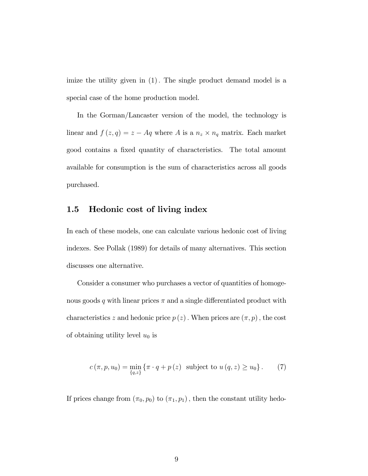imize the utility given in (1). The single product demand model is a special case of the home production model.

In the Gorman/Lancaster version of the model, the technology is linear and  $f(z,q) = z - Aq$  where A is a  $n_z \times n_q$  matrix. Each market good contains a fixed quantity of characteristics. The total amount available for consumption is the sum of characteristics across all goods purchased.

#### 1.5 Hedonic cost of living index

In each of these models, one can calculate various hedonic cost of living indexes. See Pollak (1989) for details of many alternatives. This section discusses one alternative.

Consider a consumer who purchases a vector of quantities of homogenous goods q with linear prices  $\pi$  and a single differentiated product with characteristics z and hedonic price  $p(z)$ . When prices are  $(\pi, p)$ , the cost of obtaining utility level  $u_0$  is

$$
c(\pi, p, u_0) = \min_{\{q, z\}} \{ \pi \cdot q + p(z) \text{ subject to } u(q, z) \ge u_0 \}. \tag{7}
$$

If prices change from  $(\pi_0, p_0)$  to  $(\pi_1, p_1)$ , then the constant utility hedo-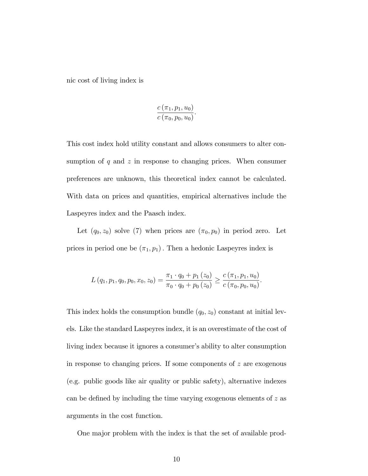nic cost of living index is

$$
\frac{c(\pi_1, p_1, u_0)}{c(\pi_0, p_0, u_0)}.
$$

This cost index hold utility constant and allows consumers to alter consumption of  $q$  and  $z$  in response to changing prices. When consumer preferences are unknown, this theoretical index cannot be calculated. With data on prices and quantities, empirical alternatives include the Laspeyres index and the Paasch index.

Let  $(q_0, z_0)$  solve (7) when prices are  $(\pi_0, p_0)$  in period zero. Let prices in period one be  $(\pi_1, p_1)$ . Then a hedonic Laspeyres index is

$$
L(q_1, p_1, q_0, p_0, x_0, z_0) = \frac{\pi_1 \cdot q_0 + p_1(z_0)}{\pi_0 \cdot q_0 + p_0(z_0)} \geq \frac{c(\pi_1, p_1, u_0)}{c(\pi_0, p_0, u_0)}.
$$

This index holds the consumption bundle  $(q_0, z_0)$  constant at initial levels. Like the standard Laspeyres index, it is an overestimate of the cost of living index because it ignores a consumer's ability to alter consumption in response to changing prices. If some components of  $z$  are exogenous (e.g. public goods like air quality or public safety), alternative indexes can be defined by including the time varying exogenous elements of  $z$  as arguments in the cost function.

One major problem with the index is that the set of available prod-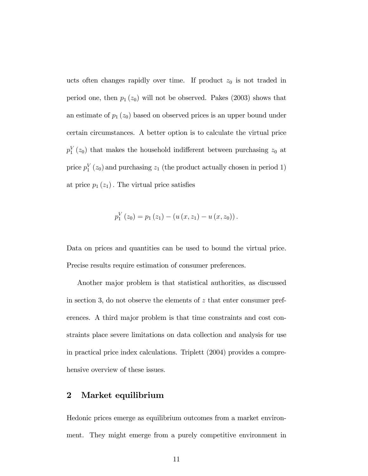ucts often changes rapidly over time. If product  $z_0$  is not traded in period one, then  $p_1(z_0)$  will not be observed. Pakes (2003) shows that an estimate of  $p_1(z_0)$  based on observed prices is an upper bound under certain circumstances. A better option is to calculate the virtual price  $p_1^V(z_0)$  that makes the household indifferent between purchasing  $z_0$  at price  $p_1^V(z_0)$  and purchasing  $z_1$  (the product actually chosen in period 1) at price  $p_1(z_1)$ . The virtual price satisfies

$$
p_1^V(z_0) = p_1(z_1) - (u(x, z_1) - u(x, z_0)).
$$

Data on prices and quantities can be used to bound the virtual price. Precise results require estimation of consumer preferences.

Another major problem is that statistical authorities, as discussed in section 3, do not observe the elements of  $z$  that enter consumer preferences. A third major problem is that time constraints and cost constraints place severe limitations on data collection and analysis for use in practical price index calculations. Triplett (2004) provides a comprehensive overview of these issues.

#### 2 Market equilibrium

Hedonic prices emerge as equilibrium outcomes from a market environment. They might emerge from a purely competitive environment in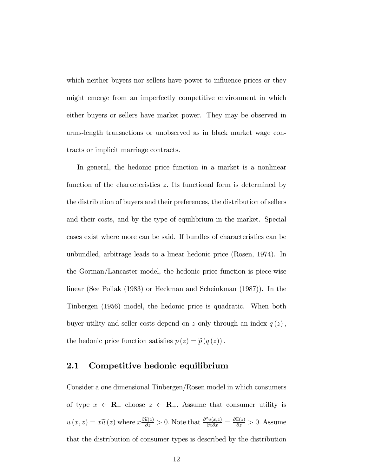which neither buyers nor sellers have power to influence prices or they might emerge from an imperfectly competitive environment in which either buyers or sellers have market power. They may be observed in arms-length transactions or unobserved as in black market wage contracts or implicit marriage contracts.

In general, the hedonic price function in a market is a nonlinear function of the characteristics  $z$ . Its functional form is determined by the distribution of buyers and their preferences, the distribution of sellers and their costs, and by the type of equilibrium in the market. Special cases exist where more can be said. If bundles of characteristics can be unbundled, arbitrage leads to a linear hedonic price (Rosen, 1974). In the Gorman/Lancaster model, the hedonic price function is piece-wise linear (See Pollak (1983) or Heckman and Scheinkman (1987)). In the Tinbergen (1956) model, the hedonic price is quadratic. When both buyer utility and seller costs depend on z only through an index  $q(z)$ , the hedonic price function satisfies  $p(z) = \tilde{p}(q(z))$ .

#### 2.1 Competitive hedonic equilibrium

Consider a one dimensional Tinbergen/Rosen model in which consumers of type  $x \in \mathbb{R}_+$  choose  $z \in \mathbb{R}_+$ . Assume that consumer utility is  $u(x, z) = x\tilde{u}(z)$  where  $x \frac{\partial \tilde{u}(z)}{\partial z} > 0$ . Note that  $\frac{\partial^2 u(x, z)}{\partial z \partial x} = \frac{\partial \tilde{u}(z)}{\partial z} > 0$ . Assume that the distribution of consumer types is described by the distribution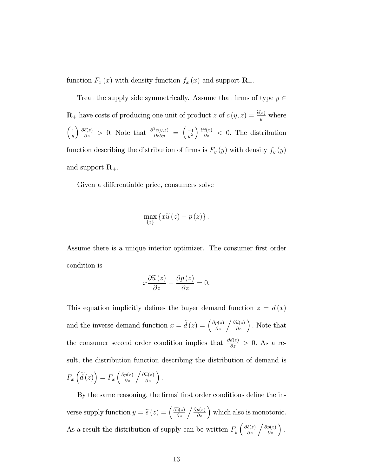function  $F_x(x)$  with density function  $f_x(x)$  and support  $\mathbf{R}_+$ .

Treat the supply side symmetrically. Assume that firms of type  $y \in$  $\mathbf{R}_{+}$  have costs of producing one unit of product z of  $c(y, z) = \frac{\tilde{c}(z)}{y}$  where  $\left(1\right)$  $\overline{y}$  $\int \frac{\partial \tilde{c}(z)}{\partial z}$  > 0. Note that  $\frac{\partial^2 c(y,z)}{\partial z \partial y} = \left(\frac{-1}{y^2}\right) \frac{\partial \tilde{c}(z)}{\partial z}$  < 0. The distribution function describing the distribution of firms is  $F_y(y)$  with density  $f_y(y)$ and support  $\mathbf{R}_{+}$ .

Given a differentiable price, consumers solve

$$
\max_{\{z\}}\left\{x\widetilde{u}\left(z\right)-p\left(z\right)\right\}.
$$

Assume there is a unique interior optimizer. The consumer first order condition is

$$
x\frac{\partial \widetilde{u}(z)}{\partial z} - \frac{\partial p(z)}{\partial z} = 0.
$$

This equation implicitly defines the buyer demand function  $z = d(x)$ and the inverse demand function  $x = \tilde{d}(z) = \left(\frac{\partial p(z)}{\partial z} / \frac{\partial \tilde{u}(z)}{\partial z}\right)$ . Note that the consumer second order condition implies that  $\frac{\partial d(z)}{\partial z} > 0$ . As a result, the distribution function describing the distribution of demand is  $F_x\left(\tilde{d}(z)\right) = F_x\left(\frac{\partial p(z)}{\partial z} / \frac{\partial \tilde{u}(z)}{\partial z}\right).$ 

By the same reasoning, the firms' first order conditions define the inverse supply function  $y = \tilde{s}(z) = \left(\frac{\partial \tilde{c}(z)}{\partial z} / \frac{\partial p(z)}{\partial z}\right)$  which also is monotonic. As a result the distribution of supply can be written  $F_y\left(\frac{\partial \tilde{c}(z)}{\partial z} / \frac{\partial p(z)}{\partial z}\right)$ .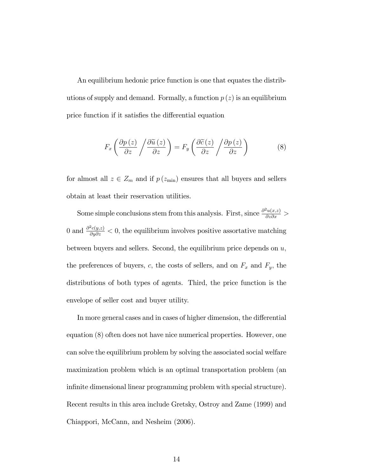An equilibrium hedonic price function is one that equates the distributions of supply and demand. Formally, a function  $p(z)$  is an equilibrium price function if it satisfies the differential equation

$$
F_x \left( \frac{\partial p \left( z \right)}{\partial z} / \frac{\partial \widetilde{u} \left( z \right)}{\partial z} \right) = F_y \left( \frac{\partial \widetilde{c} \left( z \right)}{\partial z} / \frac{\partial p \left( z \right)}{\partial z} \right) \tag{8}
$$

for almost all  $z \in Z_m$  and if  $p(z_{\min})$  ensures that all buyers and sellers obtain at least their reservation utilities.

Some simple conclusions stem from this analysis. First, since  $\frac{\partial^2 u(x,z)}{\partial z \partial x}$  > 0 and  $\frac{\partial^2 c(y,z)}{\partial y \partial z} < 0$ , the equilibrium involves positive assortative matching between buyers and sellers. Second, the equilibrium price depends on  $u$ , the preferences of buyers, c, the costs of sellers, and on  $F_x$  and  $F_y$ , the distributions of both types of agents. Third, the price function is the envelope of seller cost and buyer utility.

In more general cases and in cases of higher dimension, the differential equation (8) often does not have nice numerical properties. However, one can solve the equilibrium problem by solving the associated social welfare maximization problem which is an optimal transportation problem (an infinite dimensional linear programming problem with special structure). Recent results in this area include Gretsky, Ostroy and Zame (1999) and Chiappori, McCann, and Nesheim (2006).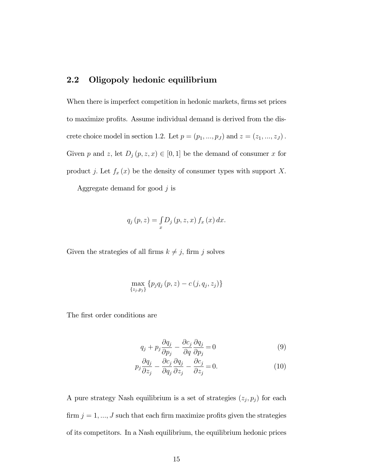# 2.2 Oligopoly hedonic equilibrium

When there is imperfect competition in hedonic markets, firms set prices to maximize profits. Assume individual demand is derived from the discrete choice model in section 1.2. Let  $p = (p_1, ..., p_J)$  and  $z = (z_1, ..., z_J)$ . Given p and z, let  $D_j(p, z, x) \in [0, 1]$  be the demand of consumer x for product j. Let  $f_x(x)$  be the density of consumer types with support X.

Aggregate demand for good  $j$  is

$$
q_j(p,z) = \int_x D_j(p,z,x) f_x(x) dx.
$$

Given the strategies of all firms  $k \neq j$ , firm j solves

$$
\max_{\{z_j, p_j\}} \{p_j q_j (p, z) - c (j, q_j, z_j)\}
$$

The first order conditions are

$$
q_j + p_j \frac{\partial q_j}{\partial p_j} - \frac{\partial c_j}{\partial q} \frac{\partial q_j}{\partial p_j} = 0
$$
\n(9)

$$
p_j \frac{\partial q_j}{\partial z_j} - \frac{\partial c_j}{\partial q_j} \frac{\partial q_j}{\partial z_j} - \frac{\partial c_j}{\partial z_j} = 0.
$$
 (10)

A pure strategy Nash equilibrium is a set of strategies  $(z_j, p_j)$  for each firm  $j = 1, ..., J$  such that each firm maximize profits given the strategies of its competitors. In a Nash equilibrium, the equilibrium hedonic prices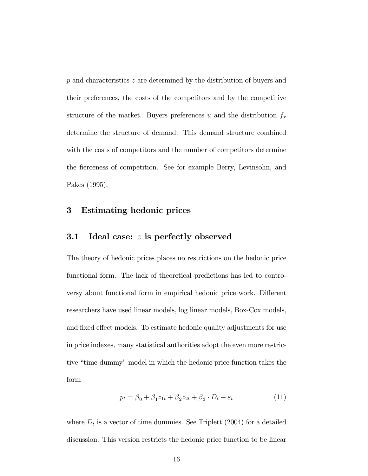p and characteristics z are determined by the distribution of buyers and their preferences, the costs of the competitors and by the competitive structure of the market. Buyers preferences u and the distribution  $f_x$ determine the structure of demand. This demand structure combined with the costs of competitors and the number of competitors determine the fierceness of competition. See for example Berry, Levinsohn, and Pakes (1995).

### 3 Estimating hedonic prices

#### 3.1 Ideal case: z is perfectly observed

The theory of hedonic prices places no restrictions on the hedonic price functional form. The lack of theoretical predictions has led to controversy about functional form in empirical hedonic price work. Different researchers have used linear models, log linear models, Box-Cox models, and fixed effect models. To estimate hedonic quality adjustments for use in price indexes, many statistical authorities adopt the even more restrictive "time-dummy" model in which the hedonic price function takes the form

$$
p_t = \beta_0 + \beta_1 z_{1t} + \beta_2 z_{2t} + \beta_3 \cdot D_t + \varepsilon_t \tag{11}
$$

where  $D_t$  is a vector of time dummies. See Triplett (2004) for a detailed discussion. This version restricts the hedonic price function to be linear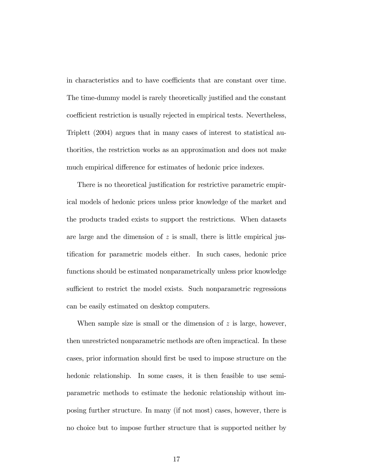in characteristics and to have coefficients that are constant over time. The time-dummy model is rarely theoretically justified and the constant coefficient restriction is usually rejected in empirical tests. Nevertheless, Triplett (2004) argues that in many cases of interest to statistical authorities, the restriction works as an approximation and does not make much empirical difference for estimates of hedonic price indexes.

There is no theoretical justification for restrictive parametric empirical models of hedonic prices unless prior knowledge of the market and the products traded exists to support the restrictions. When datasets are large and the dimension of  $z$  is small, there is little empirical justification for parametric models either. In such cases, hedonic price functions should be estimated nonparametrically unless prior knowledge sufficient to restrict the model exists. Such nonparametric regressions can be easily estimated on desktop computers.

When sample size is small or the dimension of  $z$  is large, however, then unrestricted nonparametric methods are often impractical. In these cases, prior information should first be used to impose structure on the hedonic relationship. In some cases, it is then feasible to use semiparametric methods to estimate the hedonic relationship without imposing further structure. In many (if not most) cases, however, there is no choice but to impose further structure that is supported neither by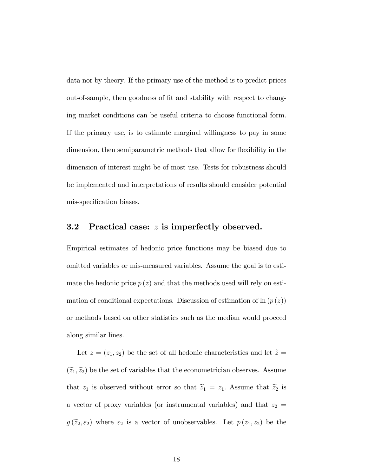data nor by theory. If the primary use of the method is to predict prices out-of-sample, then goodness of fit and stability with respect to changing market conditions can be useful criteria to choose functional form. If the primary use, is to estimate marginal willingness to pay in some dimension, then semiparametric methods that allow for flexibility in the dimension of interest might be of most use. Tests for robustness should be implemented and interpretations of results should consider potential mis-specification biases.

#### 3.2 Practical case: z is imperfectly observed.

Empirical estimates of hedonic price functions may be biased due to omitted variables or mis-measured variables. Assume the goal is to estimate the hedonic price  $p(z)$  and that the methods used will rely on estimation of conditional expectations. Discussion of estimation of  $\ln (p(z))$ or methods based on other statistics such as the median would proceed along similar lines.

Let  $z = (z_1, z_2)$  be the set of all hedonic characteristics and let  $\tilde{z} =$  $(\widetilde{z}_1, \widetilde{z}_2)$  be the set of variables that the econometrician observes. Assume that  $z_1$  is observed without error so that  $\tilde{z}_1 = z_1$ . Assume that  $\tilde{z}_2$  is a vector of proxy variables (or instrumental variables) and that  $z_2 =$  $g(\tilde{z}_2,\varepsilon_2)$  where  $\varepsilon_2$  is a vector of unobservables. Let  $p(z_1,z_2)$  be the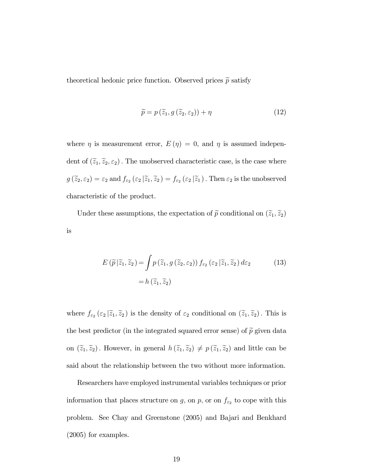theoretical hedonic price function. Observed prices  $\tilde{p}$  satisfy

$$
\widetilde{p} = p\left(\widetilde{z}_1, g\left(\widetilde{z}_2, \varepsilon_2\right)\right) + \eta \tag{12}
$$

where  $\eta$  is measurement error,  $E(\eta) = 0$ , and  $\eta$  is assumed independent of  $(\tilde{z}_1, \tilde{z}_2, \varepsilon_2)$ . The unobserved characteristic case, is the case where  $g(\tilde{z}_2, \varepsilon_2) = \varepsilon_2$  and  $f_{\varepsilon_2}(\varepsilon_2 | \tilde{z}_1, \tilde{z}_2) = f_{\varepsilon_2}(\varepsilon_2 | \tilde{z}_1)$ . Then  $\varepsilon_2$  is the unobserved characteristic of the product.

Under these assumptions, the expectation of  $\tilde{p}$  conditional on  $(\tilde{z}_1, \tilde{z}_2)$ is

$$
E(\widetilde{p}|\widetilde{z}_1,\widetilde{z}_2) = \int p(\widetilde{z}_1,g(\widetilde{z}_2,\varepsilon_2)) f_{\varepsilon_2}(\varepsilon_2|\widetilde{z}_1,\widetilde{z}_2) d\varepsilon_2
$$
\n
$$
= h(\widetilde{z}_1,\widetilde{z}_2)
$$
\n(13)

where  $f_{\varepsilon_2}(\varepsilon_2|\tilde{z}_1,\tilde{z}_2)$  is the density of  $\varepsilon_2$  conditional on  $(\tilde{z}_1,\tilde{z}_2)$ . This is the best predictor (in the integrated squared error sense) of  $\tilde{p}$  given data on  $(\tilde{z}_1, \tilde{z}_2)$ . However, in general  $h(\tilde{z}_1, \tilde{z}_2) \neq p(\tilde{z}_1, \tilde{z}_2)$  and little can be said about the relationship between the two without more information.

Researchers have employed instrumental variables techniques or prior information that places structure on g, on p, or on  $f_{\varepsilon_2}$  to cope with this problem. See Chay and Greenstone (2005) and Bajari and Benkhard (2005) for examples.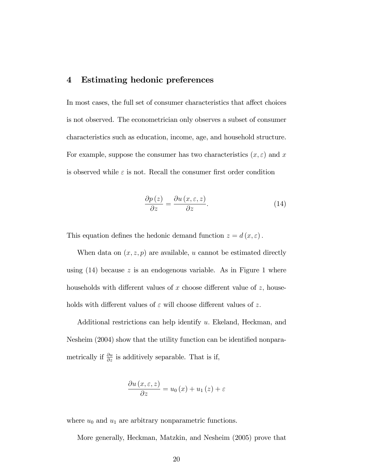#### 4 Estimating hedonic preferences

In most cases, the full set of consumer characteristics that affect choices is not observed. The econometrician only observes a subset of consumer characteristics such as education, income, age, and household structure. For example, suppose the consumer has two characteristics  $(x, \varepsilon)$  and x is observed while  $\varepsilon$  is not. Recall the consumer first order condition

$$
\frac{\partial p\left(z\right)}{\partial z} = \frac{\partial u\left(x, \varepsilon, z\right)}{\partial z}.\tag{14}
$$

This equation defines the hedonic demand function  $z = d(x, \varepsilon)$ .

When data on  $(x, z, p)$  are available, u cannot be estimated directly using  $(14)$  because z is an endogenous variable. As in Figure 1 where households with different values of x choose different value of  $z$ , households with different values of  $\varepsilon$  will choose different values of z.

Additional restrictions can help identify u: Ekeland, Heckman, and Nesheim (2004) show that the utility function can be identified nonparametrically if  $\frac{\partial u}{\partial z}$  is additively separable. That is if,

$$
\frac{\partial u(x,\varepsilon,z)}{\partial z} = u_0(x) + u_1(z) + \varepsilon
$$

where  $u_0$  and  $u_1$  are arbitrary nonparametric functions.

More generally, Heckman, Matzkin, and Nesheim (2005) prove that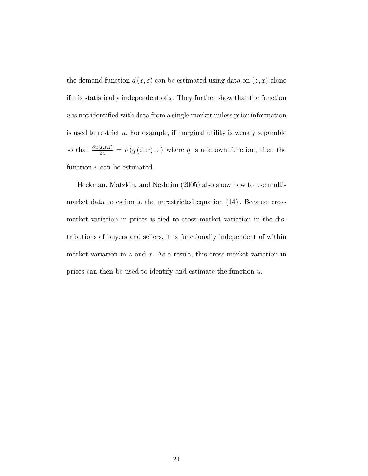the demand function  $d(x, \varepsilon)$  can be estimated using data on  $(z, x)$  alone if  $\varepsilon$  is statistically independent of x. They further show that the function  $u$  is not identified with data from a single market unless prior information is used to restrict u: For example, if marginal utility is weakly separable so that  $\frac{\partial u(x,\varepsilon,z)}{\partial z} = v(q(z,x),\varepsilon)$  where q is a known function, then the function  $v$  can be estimated.

Heckman, Matzkin, and Nesheim (2005) also show how to use multimarket data to estimate the unrestricted equation  $(14)$ . Because cross market variation in prices is tied to cross market variation in the distributions of buyers and sellers, it is functionally independent of within market variation in  $z$  and  $x$ . As a result, this cross market variation in prices can then be used to identify and estimate the function  $u$ .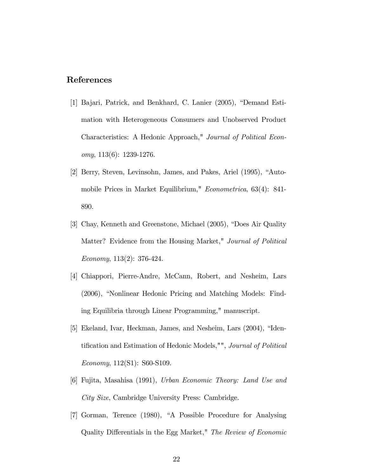# References

- [1] Bajari, Patrick, and Benkhard, C. Lanier (2005), "Demand Estimation with Heterogeneous Consumers and Unobserved Product Characteristics: A Hedonic Approach," Journal of Political Economy, 113(6): 1239-1276.
- [2] Berry, Steven, Levinsohn, James, and Pakes, Ariel (1995), "Automobile Prices in Market Equilibrium," Econometrica, 63(4): 841- 890.
- [3] Chay, Kenneth and Greenstone, Michael (2005), "Does Air Quality Matter? Evidence from the Housing Market," Journal of Political Economy, 113(2): 376-424.
- [4] Chiappori, Pierre-Andre, McCann, Robert, and Nesheim, Lars (2006), "Nonlinear Hedonic Pricing and Matching Models: Finding Equilibria through Linear Programming," manuscript.
- [5] Ekeland, Ivar, Heckman, James, and Nesheim, Lars (2004), "Identification and Estimation of Hedonic Models,"", Journal of Political Economy, 112(S1): S60-S109.
- [6] Fujita, Masahisa (1991), Urban Economic Theory: Land Use and City Size, Cambridge University Press: Cambridge.
- [7] Gorman, Terence (1980), "A Possible Procedure for Analysing Quality Differentials in the Egg Market," The Review of Economic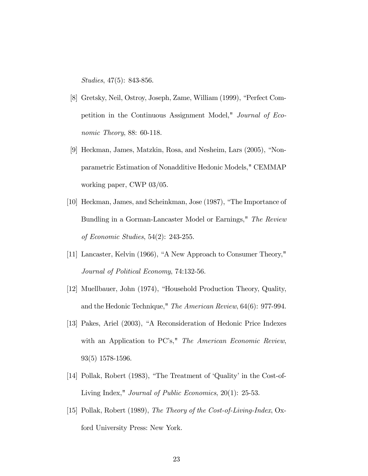Studies, 47(5): 843-856.

- [8] Gretsky, Neil, Ostroy, Joseph, Zame, William (1999), "Perfect Competition in the Continuous Assignment Model," Journal of Economic Theory, 88: 60-118.
- [9] Heckman, James, Matzkin, Rosa, and Nesheim, Lars (2005), "Nonparametric Estimation of Nonadditive Hedonic Models," CEMMAP working paper, CWP 03/05.
- [10] Heckman, James, and Scheinkman, Jose (1987), "The Importance of Bundling in a Gorman-Lancaster Model or Earnings," The Review of Economic Studies, 54(2): 243-255.
- [11] Lancaster, Kelvin (1966), "A New Approach to Consumer Theory," Journal of Political Economy, 74:132-56.
- [12] Muellbauer, John (1974), "Household Production Theory, Quality, and the Hedonic Technique," The American Review, 64(6): 977-994.
- [13] Pakes, Ariel (2003), "A Reconsideration of Hedonic Price Indexes with an Application to PC's," The American Economic Review, 93(5) 1578-1596.
- [14] Pollak, Robert (1983), "The Treatment of 'Quality' in the Cost-of-Living Index," Journal of Public Economics, 20(1): 25-53.
- [15] Pollak, Robert (1989), The Theory of the Cost-of-Living-Index, Oxford University Press: New York.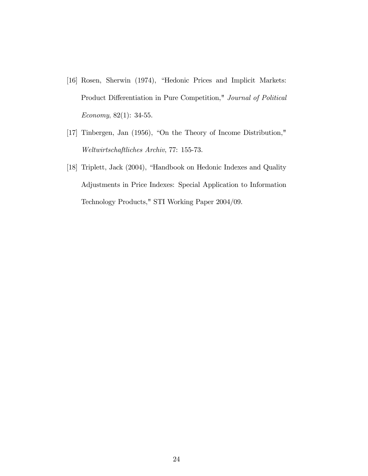- [16] Rosen, Sherwin (1974), "Hedonic Prices and Implicit Markets: Product Differentiation in Pure Competition," Journal of Political Economy, 82(1): 34-55.
- $[17]$  Tinbergen, Jan  $(1956)$ , "On the Theory of Income Distribution," Weltwirtschaftliches Archiv, 77: 155-73.
- [18] Triplett, Jack (2004), "Handbook on Hedonic Indexes and Quality Adjustments in Price Indexes: Special Application to Information Technology Products," STI Working Paper 2004/09.